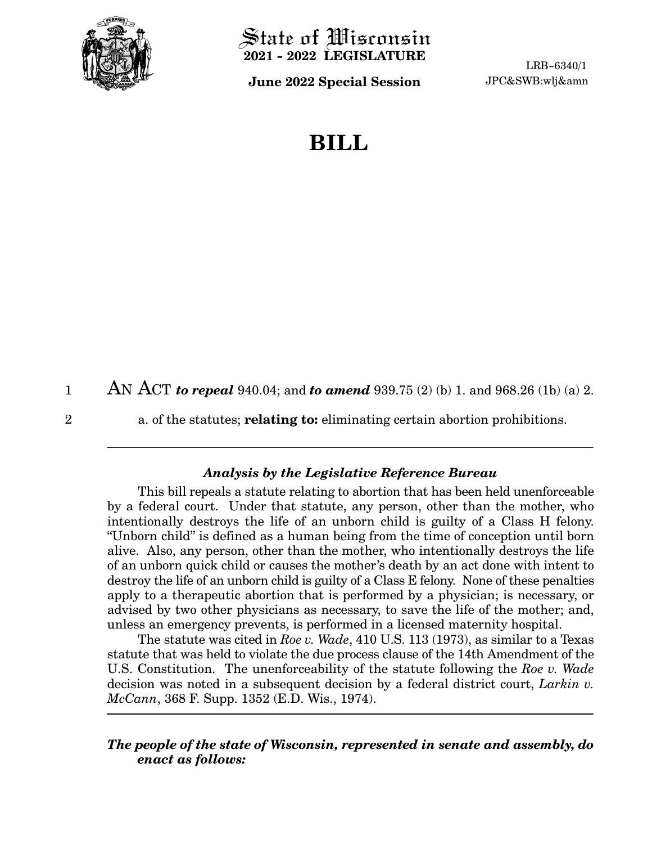

State of Wisconsin **2021 - 2022 LEGISLATURE**

**June 2022 Special Session** JPC&SWB:wlj&amn

LRB-6340/1

## **BILL**

AN ACT *to repeal* 940.04; and *to amend* 939.75 (2) (b) 1. and 968.26 (1b) (a) 2. 1

2

a. of the statutes; **relating to:** eliminating certain abortion prohibitions.

## *Analysis by the Legislative Reference Bureau*

This bill repeals a statute relating to abortion that has been held unenforceable by a federal court. Under that statute, any person, other than the mother, who intentionally destroys the life of an unborn child is guilty of a Class H felony. "Unborn child" is defined as a human being from the time of conception until born alive. Also, any person, other than the mother, who intentionally destroys the life of an unborn quick child or causes the mother's death by an act done with intent to destroy the life of an unborn child is guilty of a Class E felony. None of these penalties apply to a therapeutic abortion that is performed by a physician; is necessary, or advised by two other physicians as necessary, to save the life of the mother; and, unless an emergency prevents, is performed in a licensed maternity hospital.

The statute was cited in *Roe v. Wade*, 410 U.S. 113 (1973), as similar to a Texas statute that was held to violate the due process clause of the 14th Amendment of the U.S. Constitution. The unenforceability of the statute following the *Roe v. Wade* decision was noted in a subsequent decision by a federal district court, *Larkin v. McCann*, 368 F. Supp. 1352 (E.D. Wis., 1974).

## *The people of the state of Wisconsin, represented in senate and assembly, do enact as follows:*